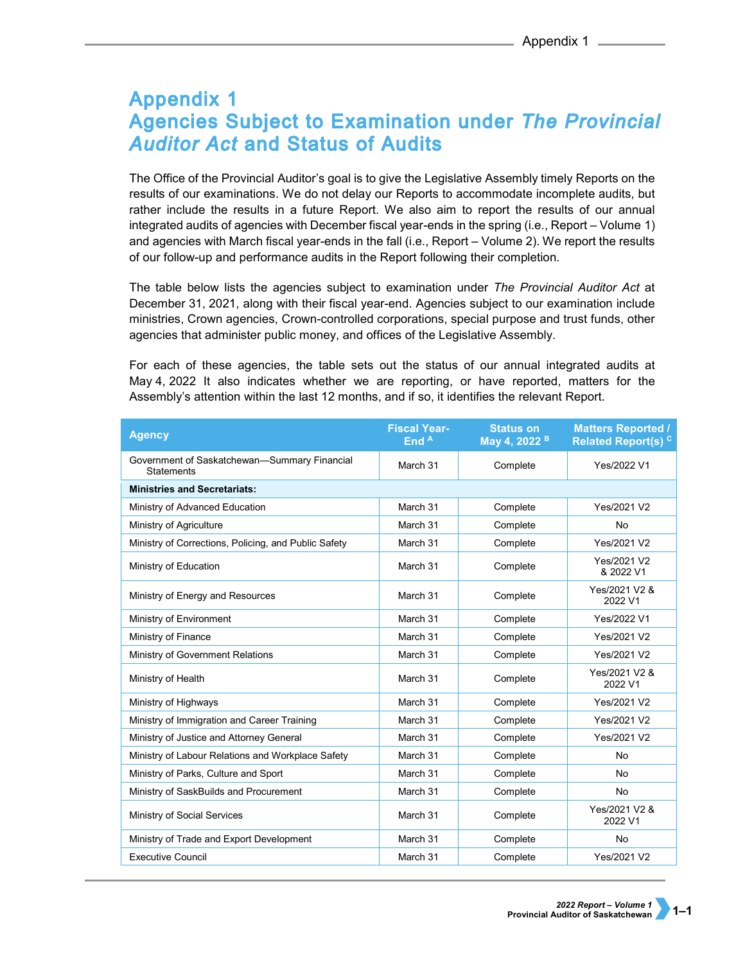## **Appendix 1 Agencies Subject to Examination under The Provincial Auditor Act and Status of Audits**

The Office of the Provincial Auditor's goal is to give the Legislative Assembly timely Reports on the results of our examinations. We do not delay our Reports to accommodate incomplete audits, but rather include the results in a future Report. We also aim to report the results of our annual integrated audits of agencies with December fiscal year-ends in the spring (i.e., Report – Volume 1) and agencies with March fiscal year-ends in the fall (i.e., Report – Volume 2). We report the results of our follow-up and performance audits in the Report following their completion.

The table below lists the agencies subject to examination under *The Provincial Auditor Act* at December 31, 2021, along with their fiscal year-end. Agencies subject to our examination include ministries, Crown agencies, Crown-controlled corporations, special purpose and trust funds, other agencies that administer public money, and offices of the Legislative Assembly.

For each of these agencies, the table sets out the status of our annual integrated audits at May 4, 2022 It also indicates whether we are reporting, or have reported, matters for the Assembly's attention within the last 12 months, and if so, it identifies the relevant Report.

| <b>Agency</b>                                              | <b>Fiscal Year-</b><br>End A | <b>Status on</b><br>May 4, 2022 <sup>B</sup> | <b>Matters Reported /</b><br>Related Report(s) <sup>c</sup> |
|------------------------------------------------------------|------------------------------|----------------------------------------------|-------------------------------------------------------------|
| Government of Saskatchewan-Summary Financial<br>Statements | March 31                     | Complete                                     | Yes/2022 V1                                                 |
| <b>Ministries and Secretariats:</b>                        |                              |                                              |                                                             |
| Ministry of Advanced Education                             | March 31                     | Complete                                     | Yes/2021 V2                                                 |
| Ministry of Agriculture                                    | March 31                     | Complete                                     | <b>No</b>                                                   |
| Ministry of Corrections, Policing, and Public Safety       | March 31                     | Complete                                     | Yes/2021 V2                                                 |
| Ministry of Education                                      | March 31                     | Complete                                     | Yes/2021 V2<br>& 2022 V1                                    |
| Ministry of Energy and Resources                           | March 31                     | Complete                                     | Yes/2021 V2 &<br>2022 V1                                    |
| Ministry of Environment                                    | March 31                     | Complete                                     | Yes/2022 V1                                                 |
| Ministry of Finance                                        | March 31                     | Complete                                     | Yes/2021 V2                                                 |
| Ministry of Government Relations                           | March 31                     | Complete                                     | Yes/2021 V2                                                 |
| Ministry of Health                                         | March 31                     | Complete                                     | Yes/2021 V2 &<br>2022 V1                                    |
| Ministry of Highways                                       | March 31                     | Complete                                     | Yes/2021 V2                                                 |
| Ministry of Immigration and Career Training                | March 31                     | Complete                                     | Yes/2021 V2                                                 |
| Ministry of Justice and Attorney General                   | March 31                     | Complete                                     | Yes/2021 V2                                                 |
| Ministry of Labour Relations and Workplace Safety          | March 31                     | Complete                                     | <b>No</b>                                                   |
| Ministry of Parks, Culture and Sport                       | March 31                     | Complete                                     | <b>No</b>                                                   |
| Ministry of SaskBuilds and Procurement                     | March 31                     | Complete                                     | <b>No</b>                                                   |
| Ministry of Social Services                                | March 31                     | Complete                                     | Yes/2021 V2 &<br>2022 V1                                    |
| Ministry of Trade and Export Development                   | March 31                     | Complete                                     | <b>No</b>                                                   |
| <b>Executive Council</b>                                   | March 31                     | Complete                                     | Yes/2021 V2                                                 |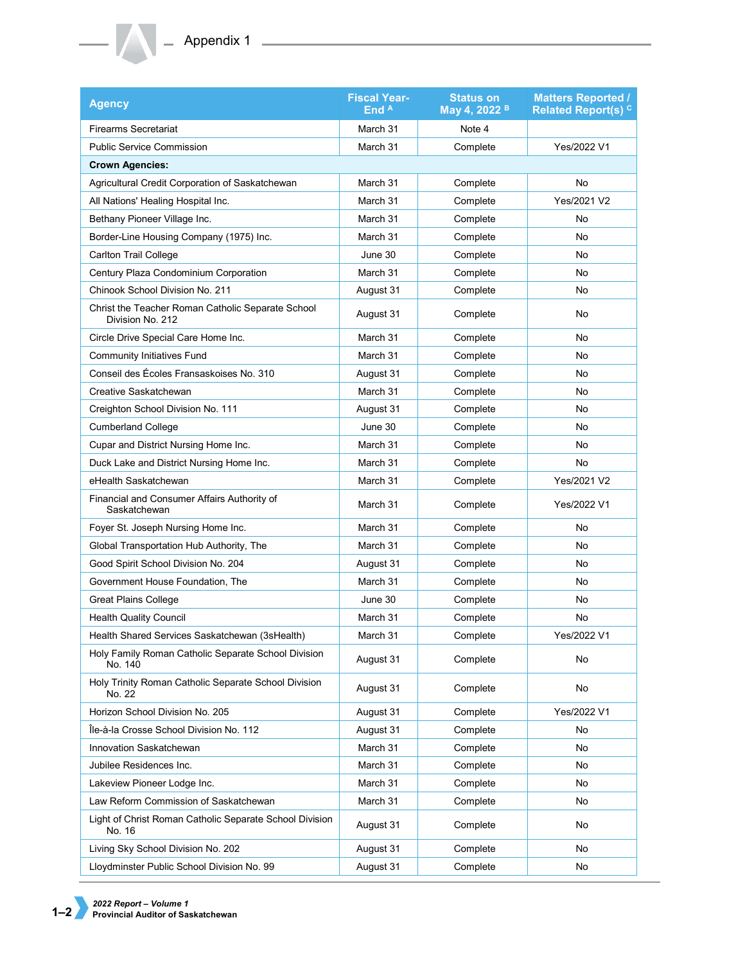## **Appendix 1** 2

| <b>Agency</b>                                                         | <b>Fiscal Year-</b><br>End A | <b>Status on</b><br>May 4, 2022 <sup>B</sup> | <b>Matters Reported /</b><br><b>Related Report(s)<sup>C</sup></b> |
|-----------------------------------------------------------------------|------------------------------|----------------------------------------------|-------------------------------------------------------------------|
| <b>Firearms Secretariat</b>                                           | March 31                     | Note 4                                       |                                                                   |
| <b>Public Service Commission</b>                                      | March 31                     | Complete                                     | Yes/2022 V1                                                       |
| <b>Crown Agencies:</b>                                                |                              |                                              |                                                                   |
| Agricultural Credit Corporation of Saskatchewan                       | March 31                     | Complete                                     | No                                                                |
| All Nations' Healing Hospital Inc.                                    | March 31                     | Complete                                     | Yes/2021 V2                                                       |
| Bethany Pioneer Village Inc.                                          | March 31                     | Complete                                     | No                                                                |
| Border-Line Housing Company (1975) Inc.                               | March 31                     | Complete                                     | No                                                                |
| <b>Carlton Trail College</b>                                          | June 30                      | Complete                                     | No                                                                |
| Century Plaza Condominium Corporation                                 | March 31                     | Complete                                     | No                                                                |
| Chinook School Division No. 211                                       | August 31                    | Complete                                     | No                                                                |
| Christ the Teacher Roman Catholic Separate School<br>Division No. 212 | August 31                    | Complete                                     | No                                                                |
| Circle Drive Special Care Home Inc.                                   | March 31                     | Complete                                     | No                                                                |
| <b>Community Initiatives Fund</b>                                     | March 31                     | Complete                                     | No                                                                |
| Conseil des Écoles Fransaskoises No. 310                              | August 31                    | Complete                                     | No                                                                |
| Creative Saskatchewan                                                 | March 31                     | Complete                                     | No                                                                |
| Creighton School Division No. 111                                     | August 31                    | Complete                                     | No                                                                |
| <b>Cumberland College</b>                                             | June 30                      | Complete                                     | No                                                                |
| Cupar and District Nursing Home Inc.                                  | March 31                     | Complete                                     | No                                                                |
| Duck Lake and District Nursing Home Inc.                              | March 31                     | Complete                                     | No                                                                |
| eHealth Saskatchewan                                                  | March 31                     | Complete                                     | Yes/2021 V2                                                       |
| Financial and Consumer Affairs Authority of<br>Saskatchewan           | March 31                     | Complete                                     | Yes/2022 V1                                                       |
| Foyer St. Joseph Nursing Home Inc.                                    | March 31                     | Complete                                     | No                                                                |
| Global Transportation Hub Authority, The                              | March 31                     | Complete                                     | No                                                                |
| Good Spirit School Division No. 204                                   | August 31                    | Complete                                     | No                                                                |
| Government House Foundation, The                                      | March 31                     | Complete                                     | No                                                                |
| <b>Great Plains College</b>                                           | June 30                      | Complete                                     | No                                                                |
| <b>Health Quality Council</b>                                         | March 31                     | Complete                                     | No                                                                |
| Health Shared Services Saskatchewan (3sHealth)                        | March 31                     | Complete                                     | Yes/2022 V1                                                       |
| Holy Family Roman Catholic Separate School Division<br>No. 140        | August 31                    | Complete                                     | No                                                                |
| Holy Trinity Roman Catholic Separate School Division<br>No. 22        | August 31                    | Complete                                     | No                                                                |
| Horizon School Division No. 205                                       | August 31                    | Complete                                     | Yes/2022 V1                                                       |
| Île-à-la Crosse School Division No. 112                               | August 31                    | Complete                                     | No                                                                |
| Innovation Saskatchewan                                               | March 31                     | Complete                                     | No                                                                |
| Jubilee Residences Inc.                                               | March 31                     | Complete                                     | No                                                                |
| Lakeview Pioneer Lodge Inc.                                           | March 31                     | Complete                                     | No                                                                |
| Law Reform Commission of Saskatchewan                                 | March 31                     | Complete                                     | No                                                                |
| Light of Christ Roman Catholic Separate School Division<br>No. 16     | August 31                    | Complete                                     | No                                                                |
| Living Sky School Division No. 202                                    | August 31                    | Complete                                     | No                                                                |
| Lloydminster Public School Division No. 99                            | August 31                    | Complete                                     | No                                                                |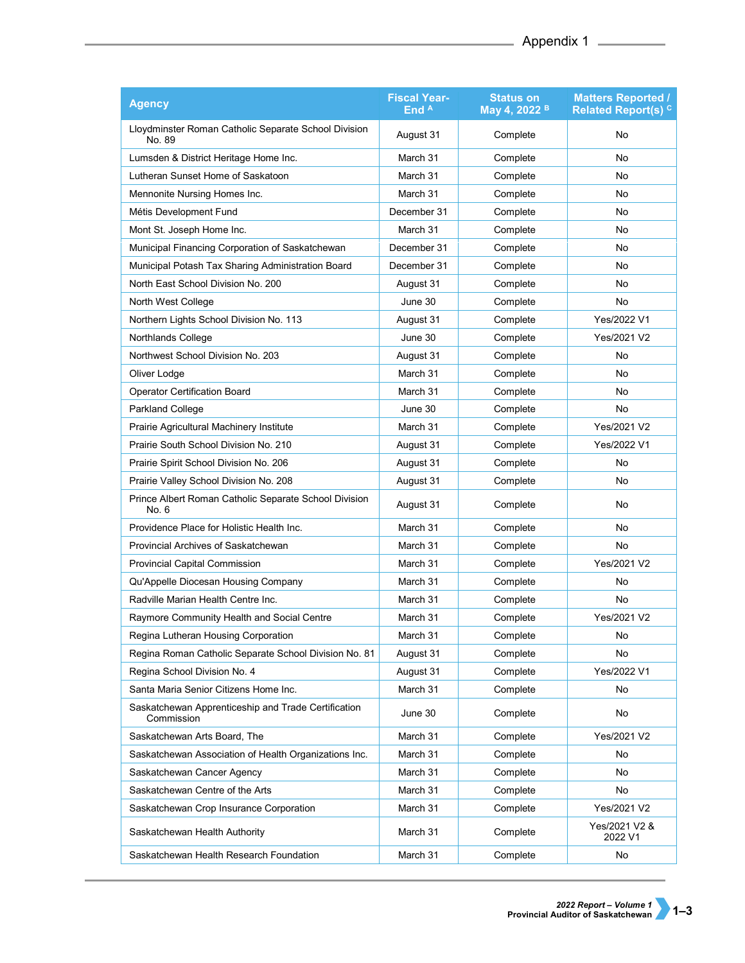| <b>Agency</b>                                                     | <b>Fiscal Year-</b><br>End A | <b>Status on</b><br>May 4, 2022 <sup>B</sup> | <b>Matters Reported /</b><br>Related Report(s) <sup>c</sup> |  |
|-------------------------------------------------------------------|------------------------------|----------------------------------------------|-------------------------------------------------------------|--|
| Lloydminster Roman Catholic Separate School Division<br>No. 89    | August 31                    | Complete                                     | No                                                          |  |
| Lumsden & District Heritage Home Inc.                             | March 31                     | Complete                                     | No                                                          |  |
| Lutheran Sunset Home of Saskatoon                                 | March 31                     | Complete                                     | No                                                          |  |
| Mennonite Nursing Homes Inc.                                      | March 31                     | Complete                                     | No                                                          |  |
| Métis Development Fund                                            | December 31                  | Complete                                     | No                                                          |  |
| Mont St. Joseph Home Inc.                                         | March 31                     | Complete                                     | No                                                          |  |
| Municipal Financing Corporation of Saskatchewan                   | December 31                  | Complete                                     | No                                                          |  |
| Municipal Potash Tax Sharing Administration Board                 | December 31                  | Complete                                     | No                                                          |  |
| North East School Division No. 200                                | August 31                    | Complete                                     | No                                                          |  |
| North West College                                                | June 30                      | Complete                                     | No                                                          |  |
| Northern Lights School Division No. 113                           | August 31                    | Complete                                     | Yes/2022 V1                                                 |  |
| Northlands College                                                | June 30                      | Complete                                     | Yes/2021 V2                                                 |  |
| Northwest School Division No. 203                                 | August 31                    | Complete                                     | No                                                          |  |
| Oliver Lodge                                                      | March 31                     | Complete                                     | No                                                          |  |
| <b>Operator Certification Board</b>                               | March 31                     | Complete                                     | No                                                          |  |
| <b>Parkland College</b>                                           | June 30                      | Complete                                     | No                                                          |  |
| Prairie Agricultural Machinery Institute                          | March 31                     | Complete                                     | Yes/2021 V2                                                 |  |
| Prairie South School Division No. 210                             | August 31                    | Complete                                     | Yes/2022 V1                                                 |  |
| Prairie Spirit School Division No. 206                            | August 31                    | Complete                                     | No                                                          |  |
| Prairie Valley School Division No. 208                            | August 31                    | Complete                                     | No                                                          |  |
| Prince Albert Roman Catholic Separate School Division<br>No. 6    | August 31                    | Complete                                     | No                                                          |  |
| Providence Place for Holistic Health Inc.                         | March 31                     | Complete                                     | No                                                          |  |
| Provincial Archives of Saskatchewan                               | March 31                     | Complete                                     | No                                                          |  |
| Provincial Capital Commission                                     | March 31                     | Complete                                     | Yes/2021 V2                                                 |  |
| Qu'Appelle Diocesan Housing Company                               | March 31                     | Complete                                     | No                                                          |  |
| Radville Marian Health Centre Inc.                                | March 31                     | Complete                                     | No                                                          |  |
| Raymore Community Health and Social Centre                        | March 31                     | Complete                                     | Yes/2021 V2                                                 |  |
| Regina Lutheran Housing Corporation                               | March 31                     | Complete                                     | No                                                          |  |
| Regina Roman Catholic Separate School Division No. 81             | August 31                    | Complete                                     | No                                                          |  |
| Regina School Division No. 4                                      | August 31                    | Complete                                     | Yes/2022 V1                                                 |  |
| Santa Maria Senior Citizens Home Inc.                             | March 31                     | Complete                                     | No                                                          |  |
| Saskatchewan Apprenticeship and Trade Certification<br>Commission | June 30                      | Complete                                     | No                                                          |  |
| Saskatchewan Arts Board, The                                      | March 31                     | Complete                                     | Yes/2021 V2                                                 |  |
| Saskatchewan Association of Health Organizations Inc.             | March 31                     | Complete                                     | No                                                          |  |
| Saskatchewan Cancer Agency                                        | March 31                     | Complete                                     | No                                                          |  |
| Saskatchewan Centre of the Arts                                   | March 31                     | Complete                                     | No                                                          |  |
| Saskatchewan Crop Insurance Corporation                           | March 31                     | Complete                                     | Yes/2021 V2                                                 |  |
| Saskatchewan Health Authority                                     | March 31                     | Complete                                     | Yes/2021 V2 &<br>2022 V1                                    |  |
| Saskatchewan Health Research Foundation                           | March 31                     | Complete                                     | No                                                          |  |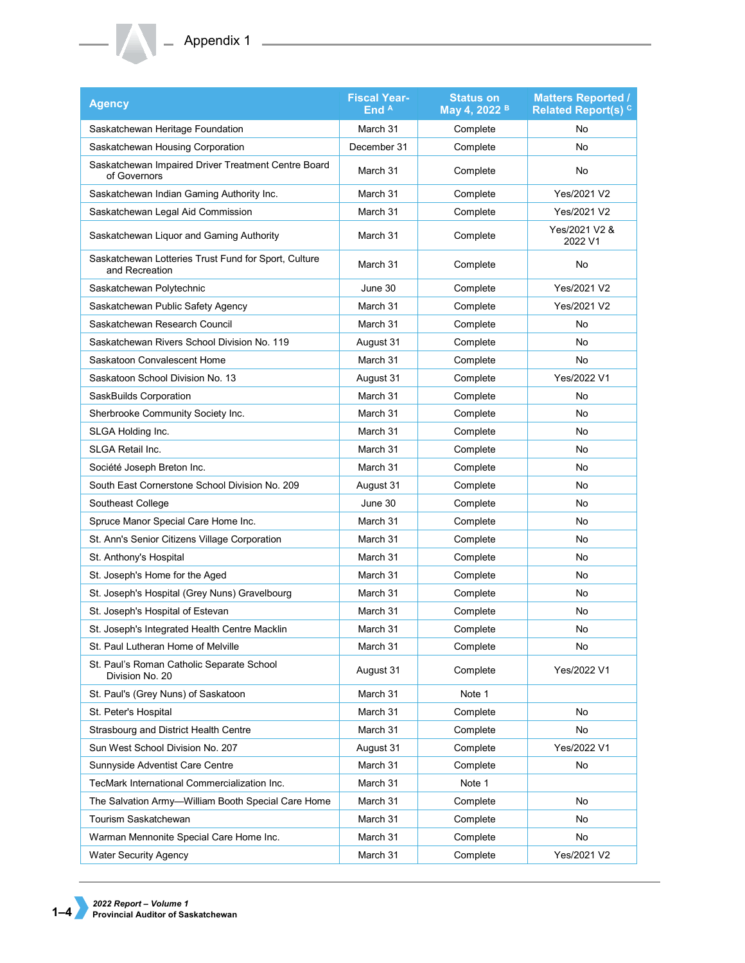| <b>Agency</b>                                                          | <b>Fiscal Year-</b><br>End $A$ | <b>Status on</b><br>May 4, 2022 B | <b>Matters Reported /</b><br><b>Related Report(s) <sup>C</sup></b> |  |
|------------------------------------------------------------------------|--------------------------------|-----------------------------------|--------------------------------------------------------------------|--|
| Saskatchewan Heritage Foundation                                       | March 31                       | Complete                          | No                                                                 |  |
| Saskatchewan Housing Corporation                                       | December 31                    | Complete                          | No                                                                 |  |
| Saskatchewan Impaired Driver Treatment Centre Board<br>of Governors    | March 31                       | Complete                          | No                                                                 |  |
| Saskatchewan Indian Gaming Authority Inc.                              | March 31                       | Complete                          | Yes/2021 V2                                                        |  |
| Saskatchewan Legal Aid Commission                                      | March 31                       | Complete                          | Yes/2021 V2                                                        |  |
| Saskatchewan Liquor and Gaming Authority                               | March 31                       | Complete                          | Yes/2021 V2 &<br>2022 V1                                           |  |
| Saskatchewan Lotteries Trust Fund for Sport, Culture<br>and Recreation | March 31                       | Complete                          | No                                                                 |  |
| Saskatchewan Polytechnic                                               | June 30                        | Complete<br>Yes/2021 V2           |                                                                    |  |
| Saskatchewan Public Safety Agency                                      | March 31                       | Complete                          | Yes/2021 V2                                                        |  |
| Saskatchewan Research Council                                          | March 31                       | Complete                          | No                                                                 |  |
| Saskatchewan Rivers School Division No. 119                            | August 31                      | Complete                          | No                                                                 |  |
| Saskatoon Convalescent Home                                            | March 31                       | Complete                          | No                                                                 |  |
| Saskatoon School Division No. 13                                       | August 31                      | Complete                          | Yes/2022 V1                                                        |  |
| SaskBuilds Corporation                                                 | March 31                       | Complete                          | No                                                                 |  |
| Sherbrooke Community Society Inc.                                      | March 31                       | Complete                          | No                                                                 |  |
| SLGA Holding Inc.                                                      | March 31                       | Complete                          | No                                                                 |  |
| <b>SLGA Retail Inc.</b>                                                | March 31                       | Complete                          | No                                                                 |  |
| Société Joseph Breton Inc.                                             | March 31                       | Complete                          | No                                                                 |  |
| South East Cornerstone School Division No. 209                         | August 31                      | Complete                          | No                                                                 |  |
| Southeast College                                                      | June 30                        | Complete                          | No                                                                 |  |
| Spruce Manor Special Care Home Inc.                                    | March 31                       | Complete                          | No                                                                 |  |
| St. Ann's Senior Citizens Village Corporation                          | March 31                       | Complete                          | No                                                                 |  |
| St. Anthony's Hospital                                                 | March 31                       | Complete                          | No                                                                 |  |
| St. Joseph's Home for the Aged                                         | March 31                       | Complete                          | No                                                                 |  |
| St. Joseph's Hospital (Grey Nuns) Gravelbourg                          | March 31                       | Complete                          | No                                                                 |  |
| St. Joseph's Hospital of Estevan                                       | March 31                       | Complete                          | No                                                                 |  |
| St. Joseph's Integrated Health Centre Macklin                          | March 31                       | Complete                          | No                                                                 |  |
| St. Paul Lutheran Home of Melville                                     | March 31                       | Complete                          | No                                                                 |  |
| St. Paul's Roman Catholic Separate School<br>Division No. 20           | August 31                      | Complete                          | Yes/2022 V1                                                        |  |
| St. Paul's (Grey Nuns) of Saskatoon                                    | March 31                       | Note 1                            |                                                                    |  |
| St. Peter's Hospital                                                   | March 31                       | Complete                          | No                                                                 |  |
| Strasbourg and District Health Centre                                  | March 31                       | Complete                          | No                                                                 |  |
| Sun West School Division No. 207                                       | August 31                      | Complete                          | Yes/2022 V1                                                        |  |
| Sunnyside Adventist Care Centre                                        | March 31                       | Complete                          | No                                                                 |  |
| TecMark International Commercialization Inc.                           | March 31                       | Note 1                            |                                                                    |  |
| The Salvation Army-William Booth Special Care Home                     | March 31                       | Complete                          | No                                                                 |  |
| Tourism Saskatchewan                                                   | March 31                       | Complete                          | No                                                                 |  |
| Warman Mennonite Special Care Home Inc.                                | March 31                       | Complete                          | No                                                                 |  |
| <b>Water Security Agency</b>                                           | March 31                       | Complete                          | Yes/2021 V2                                                        |  |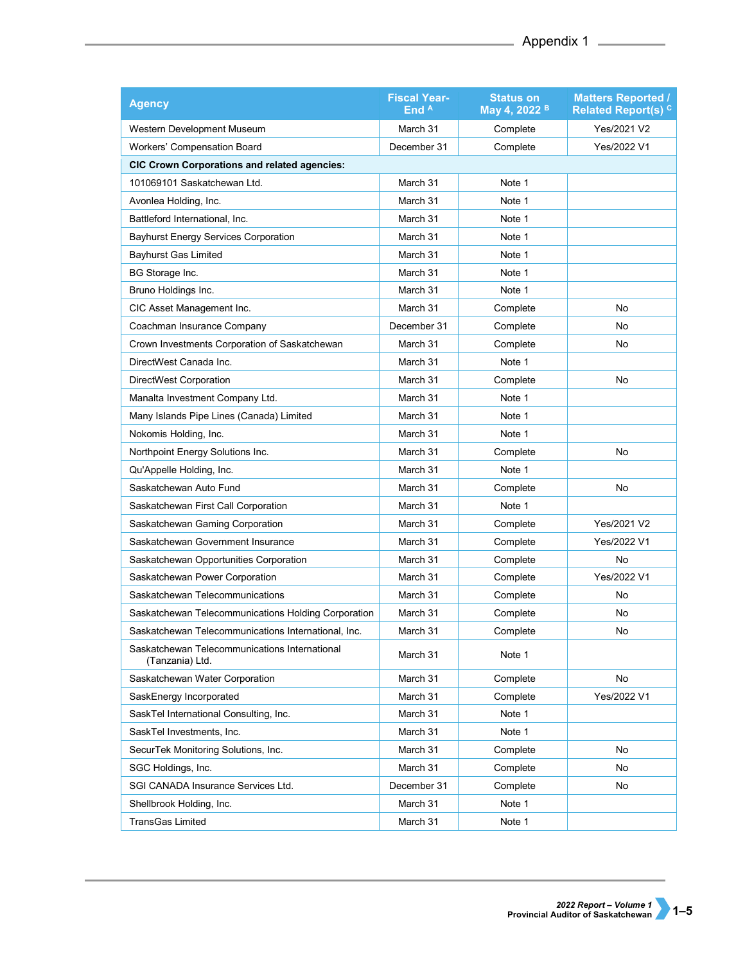| <b>Agency</b>                                                    | <b>Fiscal Year-</b><br>End A | <b>Status on</b><br>May 4, 2022 <sup>B</sup> | <b>Matters Reported /</b><br><b>Related Report(s) C</b> |
|------------------------------------------------------------------|------------------------------|----------------------------------------------|---------------------------------------------------------|
| Western Development Museum                                       | March 31                     | Complete                                     | Yes/2021 V2                                             |
| Workers' Compensation Board                                      | December 31                  | Complete                                     | Yes/2022 V1                                             |
| <b>CIC Crown Corporations and related agencies:</b>              |                              |                                              |                                                         |
| 101069101 Saskatchewan Ltd.                                      | March 31                     | Note 1                                       |                                                         |
| Avonlea Holding, Inc.                                            | March 31                     | Note 1                                       |                                                         |
| Battleford International, Inc.                                   | March 31                     | Note 1                                       |                                                         |
| <b>Bayhurst Energy Services Corporation</b>                      | March 31                     | Note 1                                       |                                                         |
| <b>Bayhurst Gas Limited</b>                                      | March 31                     | Note 1                                       |                                                         |
| BG Storage Inc.                                                  | March 31                     | Note 1                                       |                                                         |
| Bruno Holdings Inc.                                              | March 31                     | Note 1                                       |                                                         |
| CIC Asset Management Inc.                                        | March 31                     | Complete                                     | No                                                      |
| Coachman Insurance Company                                       | December 31                  | Complete                                     | No                                                      |
| Crown Investments Corporation of Saskatchewan                    | March 31                     | Complete                                     | No                                                      |
| DirectWest Canada Inc.                                           | March 31                     | Note 1                                       |                                                         |
| DirectWest Corporation                                           | March 31                     | Complete                                     | <b>No</b>                                               |
| Manalta Investment Company Ltd.                                  | March 31                     | Note 1                                       |                                                         |
| Many Islands Pipe Lines (Canada) Limited                         | March 31                     | Note 1                                       |                                                         |
| Nokomis Holding, Inc.                                            | March 31                     | Note 1                                       |                                                         |
| Northpoint Energy Solutions Inc.                                 | March 31                     | Complete                                     | No                                                      |
| Qu'Appelle Holding, Inc.                                         | March 31                     | Note 1                                       |                                                         |
| Saskatchewan Auto Fund                                           | March 31                     | Complete                                     | No                                                      |
| Saskatchewan First Call Corporation                              | March 31                     | Note 1                                       |                                                         |
| Saskatchewan Gaming Corporation                                  | March 31                     | Complete                                     | Yes/2021 V2                                             |
| Saskatchewan Government Insurance                                | March 31                     | Complete                                     | Yes/2022 V1                                             |
| Saskatchewan Opportunities Corporation                           | March 31                     | Complete                                     | No                                                      |
| Saskatchewan Power Corporation                                   | March 31                     | Complete                                     | Yes/2022 V1                                             |
| Saskatchewan Telecommunications                                  | March 31                     | Complete                                     | No                                                      |
| Saskatchewan Telecommunications Holding Corporation              | March 31                     | Complete                                     | <b>No</b>                                               |
| Saskatchewan Telecommunications International, Inc.              | March 31                     | Complete                                     | No                                                      |
| Saskatchewan Telecommunications International<br>(Tanzania) Ltd. | March 31                     | Note 1                                       |                                                         |
| Saskatchewan Water Corporation                                   | March 31                     | Complete                                     | No                                                      |
| SaskEnergy Incorporated                                          | March 31                     | Complete                                     | Yes/2022 V1                                             |
| SaskTel International Consulting, Inc.                           | March 31                     | Note 1                                       |                                                         |
| SaskTel Investments, Inc.                                        | March 31                     | Note 1                                       |                                                         |
| SecurTek Monitoring Solutions, Inc.                              | March 31                     | Complete                                     | No                                                      |
| SGC Holdings, Inc.                                               | March 31                     | Complete                                     | No                                                      |
| SGI CANADA Insurance Services Ltd.                               | December 31                  | Complete                                     | No                                                      |
| Shellbrook Holding, Inc.                                         | March 31                     | Note 1                                       |                                                         |
| <b>TransGas Limited</b>                                          | March 31                     | Note 1                                       |                                                         |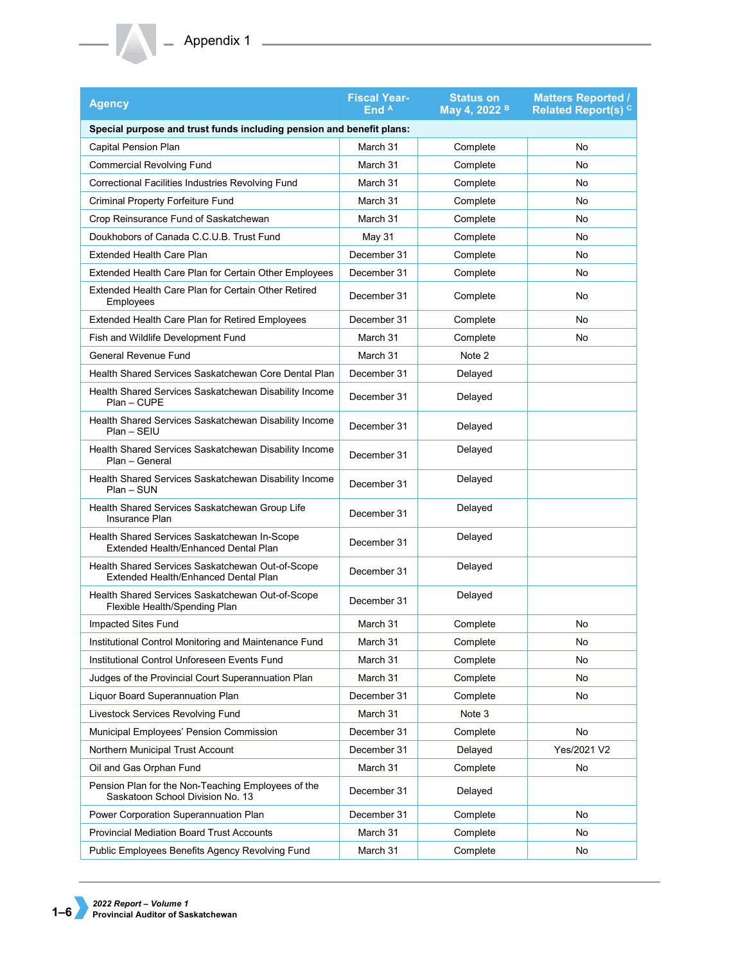| <b>Agency</b>                                                                            | <b>Fiscal Year-</b><br>End $A$ | <b>Status on</b><br>May 4, 2022 <sup>B</sup> | <b>Matters Reported /</b><br><b>Related Report(s)<sup>c</sup></b> |
|------------------------------------------------------------------------------------------|--------------------------------|----------------------------------------------|-------------------------------------------------------------------|
| Special purpose and trust funds including pension and benefit plans:                     |                                |                                              |                                                                   |
| <b>Capital Pension Plan</b>                                                              | March 31                       | Complete                                     | No                                                                |
| <b>Commercial Revolving Fund</b>                                                         | March 31                       | Complete                                     | No                                                                |
| Correctional Facilities Industries Revolving Fund                                        | March 31                       | Complete                                     | No                                                                |
| Criminal Property Forfeiture Fund                                                        | March 31                       | Complete                                     | No                                                                |
| Crop Reinsurance Fund of Saskatchewan                                                    | March 31                       | Complete                                     | No                                                                |
| Doukhobors of Canada C.C.U.B. Trust Fund                                                 | May 31                         | Complete                                     | No                                                                |
| <b>Extended Health Care Plan</b>                                                         | December 31                    | Complete                                     | No                                                                |
| Extended Health Care Plan for Certain Other Employees                                    | December 31                    | Complete                                     | No                                                                |
| Extended Health Care Plan for Certain Other Retired<br>Employees                         | December 31                    | Complete                                     | No                                                                |
| Extended Health Care Plan for Retired Employees                                          | December 31                    | Complete                                     | No                                                                |
| Fish and Wildlife Development Fund                                                       | March 31                       | Complete                                     | No                                                                |
| <b>General Revenue Fund</b>                                                              | March 31                       | Note 2                                       |                                                                   |
| Health Shared Services Saskatchewan Core Dental Plan                                     | December 31                    | Delayed                                      |                                                                   |
| Health Shared Services Saskatchewan Disability Income<br>Plan - CUPE                     | December 31                    | Delayed                                      |                                                                   |
| Health Shared Services Saskatchewan Disability Income<br>$Plan - SEIU$                   | December 31                    | Delayed                                      |                                                                   |
| Health Shared Services Saskatchewan Disability Income<br>Plan - General                  | December 31                    | Delayed                                      |                                                                   |
| Health Shared Services Saskatchewan Disability Income<br>$Plan-SUN$                      | December 31                    | Delayed                                      |                                                                   |
| Health Shared Services Saskatchewan Group Life<br>Insurance Plan                         | December 31                    | Delayed                                      |                                                                   |
| Health Shared Services Saskatchewan In-Scope<br>Extended Health/Enhanced Dental Plan     | December 31                    | Delayed                                      |                                                                   |
| Health Shared Services Saskatchewan Out-of-Scope<br>Extended Health/Enhanced Dental Plan | December 31                    | Delayed                                      |                                                                   |
| Health Shared Services Saskatchewan Out-of-Scope<br>Flexible Health/Spending Plan        | December 31                    | Delayed                                      |                                                                   |
| Impacted Sites Fund                                                                      | March 31                       | Complete                                     | No                                                                |
| Institutional Control Monitoring and Maintenance Fund                                    | March 31                       | Complete                                     | No                                                                |
| Institutional Control Unforeseen Events Fund                                             | March 31                       | Complete                                     | No                                                                |
| Judges of the Provincial Court Superannuation Plan                                       | March 31                       | Complete                                     | No                                                                |
| Liquor Board Superannuation Plan                                                         | December 31                    | Complete                                     | No                                                                |
| <b>Livestock Services Revolving Fund</b>                                                 | March 31                       | Note 3                                       |                                                                   |
| Municipal Employees' Pension Commission                                                  | December 31                    | Complete                                     | No                                                                |
| Northern Municipal Trust Account                                                         | December 31                    | Delayed                                      | Yes/2021 V2                                                       |
| Oil and Gas Orphan Fund                                                                  | March 31                       | Complete                                     | No                                                                |
| Pension Plan for the Non-Teaching Employees of the<br>Saskatoon School Division No. 13   | December 31                    | Delayed                                      |                                                                   |
| Power Corporation Superannuation Plan                                                    | December 31                    | Complete                                     | No                                                                |
| <b>Provincial Mediation Board Trust Accounts</b>                                         | March 31                       | Complete                                     | No                                                                |
| Public Employees Benefits Agency Revolving Fund                                          | March 31                       | Complete                                     | No                                                                |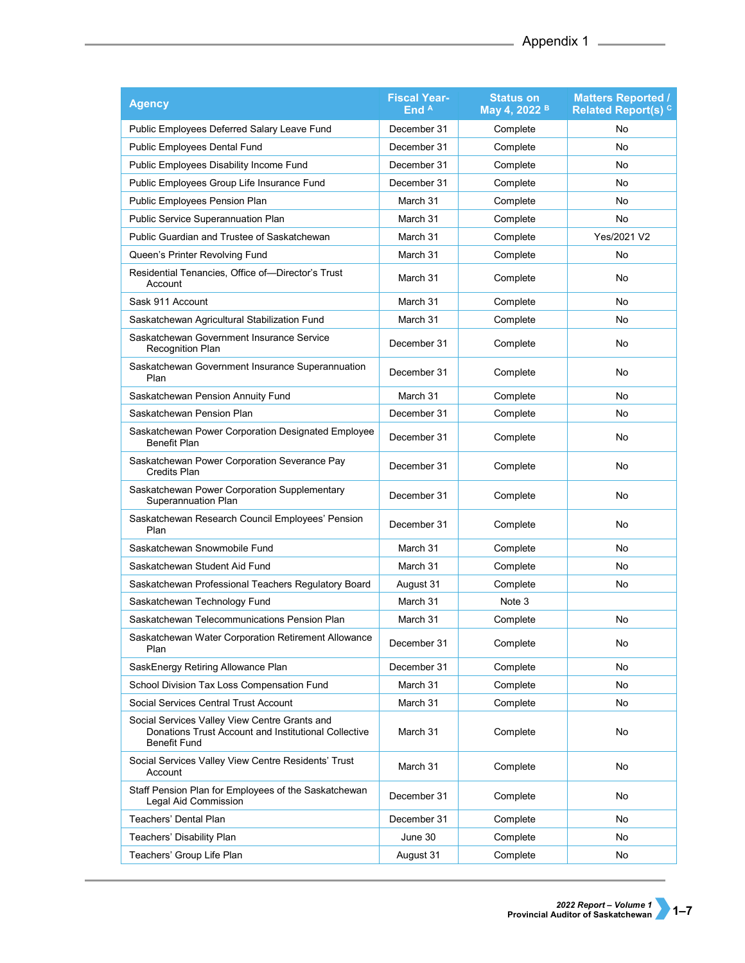| <b>Agency</b>                                                                                                                | <b>Fiscal Year-</b><br>End A | <b>Status on</b><br>May 4, 2022 <sup>B</sup> | <b>Matters Reported /</b><br>Related Report(s) <sup>c</sup> |
|------------------------------------------------------------------------------------------------------------------------------|------------------------------|----------------------------------------------|-------------------------------------------------------------|
| Public Employees Deferred Salary Leave Fund                                                                                  | December 31                  | Complete                                     | No                                                          |
| Public Employees Dental Fund                                                                                                 | December 31                  | Complete                                     | <b>No</b>                                                   |
| Public Employees Disability Income Fund                                                                                      | December 31                  | Complete                                     | <b>No</b>                                                   |
| Public Employees Group Life Insurance Fund                                                                                   | December 31                  | Complete                                     | No                                                          |
| Public Employees Pension Plan                                                                                                | March 31                     | Complete                                     | No                                                          |
| Public Service Superannuation Plan                                                                                           | March 31                     | Complete                                     | No                                                          |
| Public Guardian and Trustee of Saskatchewan                                                                                  | March 31                     | Complete                                     | Yes/2021 V2                                                 |
| Queen's Printer Revolving Fund                                                                                               | March 31                     | Complete                                     | No                                                          |
| Residential Tenancies, Office of—Director's Trust<br>Account                                                                 | March 31                     | Complete                                     | No                                                          |
| Sask 911 Account                                                                                                             | March 31                     | Complete                                     | No                                                          |
| Saskatchewan Agricultural Stabilization Fund                                                                                 | March 31                     | Complete                                     | No                                                          |
| Saskatchewan Government Insurance Service<br><b>Recognition Plan</b>                                                         | December 31                  | Complete                                     | No                                                          |
| Saskatchewan Government Insurance Superannuation<br>Plan                                                                     | December 31                  | Complete                                     | No                                                          |
| Saskatchewan Pension Annuity Fund                                                                                            | March 31                     | Complete                                     | No                                                          |
| Saskatchewan Pension Plan                                                                                                    | December 31                  | Complete                                     | No                                                          |
| Saskatchewan Power Corporation Designated Employee<br>Benefit Plan                                                           | December 31                  | Complete                                     | No                                                          |
| Saskatchewan Power Corporation Severance Pay<br><b>Credits Plan</b>                                                          | December 31                  | Complete                                     | No                                                          |
| Saskatchewan Power Corporation Supplementary<br>Superannuation Plan                                                          | December 31                  | Complete                                     | No                                                          |
| Saskatchewan Research Council Employees' Pension<br>Plan                                                                     | December 31                  | Complete                                     | No                                                          |
| Saskatchewan Snowmobile Fund                                                                                                 | March 31                     | Complete                                     | <b>No</b>                                                   |
| Saskatchewan Student Aid Fund                                                                                                | March 31                     | Complete                                     | No                                                          |
| Saskatchewan Professional Teachers Regulatory Board                                                                          | August 31                    | Complete                                     | No                                                          |
| Saskatchewan Technology Fund                                                                                                 | March 31                     | Note 3                                       |                                                             |
| Saskatchewan Telecommunications Pension Plan                                                                                 | March 31                     | Complete                                     | No                                                          |
| Saskatchewan Water Corporation Retirement Allowance<br>Plan                                                                  | December 31                  | Complete                                     | No                                                          |
| SaskEnergy Retiring Allowance Plan                                                                                           | December 31                  | Complete                                     | No                                                          |
| School Division Tax Loss Compensation Fund                                                                                   | March 31                     | Complete                                     | No                                                          |
| Social Services Central Trust Account                                                                                        | March 31                     | Complete                                     | No                                                          |
| Social Services Valley View Centre Grants and<br>Donations Trust Account and Institutional Collective<br><b>Benefit Fund</b> | March 31                     | Complete                                     | No                                                          |
| Social Services Valley View Centre Residents' Trust<br>Account                                                               | March 31                     | Complete                                     | No                                                          |
| Staff Pension Plan for Employees of the Saskatchewan<br>Legal Aid Commission                                                 | December 31                  | Complete                                     | No                                                          |
| Teachers' Dental Plan                                                                                                        | December 31                  | Complete                                     | No                                                          |
| Teachers' Disability Plan                                                                                                    | June 30                      | Complete                                     | No                                                          |
| Teachers' Group Life Plan                                                                                                    | August 31                    | Complete                                     | No                                                          |